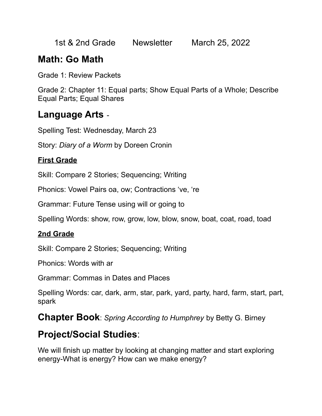1st & 2nd Grade Newsletter March 25, 2022

# **Math: Go Math**

Grade 1: Review Packets

Grade 2: Chapter 11: Equal parts; Show Equal Parts of a Whole; Describe Equal Parts; Equal Shares

### **Language Arts** -

Spelling Test: Wednesday, March 23

Story: *Diary of a Worm* by Doreen Cronin

#### **First Grade**

Skill: Compare 2 Stories; Sequencing; Writing

Phonics: Vowel Pairs oa, ow; Contractions 've, 're

Grammar: Future Tense using will or going to

Spelling Words: show, row, grow, low, blow, snow, boat, coat, road, toad

#### **2nd Grade**

Skill: Compare 2 Stories; Sequencing; Writing

Phonics: Words with ar

Grammar: Commas in Dates and Places

Spelling Words: car, dark, arm, star, park, yard, party, hard, farm, start, part, spark

**Chapter Book**: *Spring According to Humphrey* by Betty G. Birney

## **Project/Social Studies**:

We will finish up matter by looking at changing matter and start exploring energy-What is energy? How can we make energy?